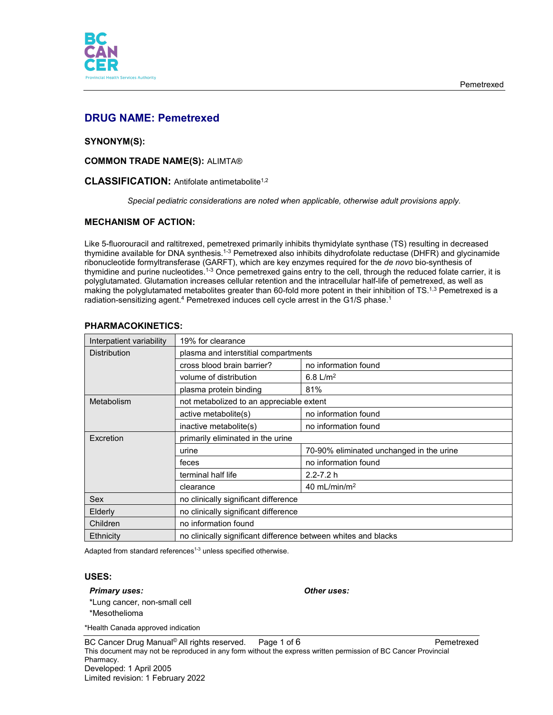

# **DRUG NAME: Pemetrexed**

### **SYNONYM(S):**

**COMMON TRADE NAME(S):** ALIMTA®

### **CLASSIFICATION:** Antifolate antimetabolite1,2

*Special pediatric considerations are noted when applicable, otherwise adult provisions apply.*

### **MECHANISM OF ACTION:**

Like 5-fluorouracil and raltitrexed, pemetrexed primarily inhibits thymidylate synthase (TS) resulting in decreased thymidine available for DNA synthesis.<sup>1-3</sup> Pemetrexed also inhibits dihydrofolate reductase (DHFR) and glycinamide ribonucleotide formyltransferase (GARFT), which are key enzymes required for the *de novo* bio-synthesis of thymidine and purine nucleotides.<sup>1-3</sup> Once pemetrexed gains entry to the cell, through the reduced folate carrier, it is polyglutamated. Glutamation increases cellular retention and the intracellular half-life of pemetrexed, as well as making the polyglutamated metabolites greater than 60-fold more potent in their inhibition of  $TS^{1,3}$  Pemetrexed is a radiation-sensitizing agent.<sup>4</sup> Pemetrexed induces cell cycle arrest in the G1/S phase.<sup>1</sup>

| Interpatient variability | 19% for clearance                                              |                                          |  |
|--------------------------|----------------------------------------------------------------|------------------------------------------|--|
| <b>Distribution</b>      | plasma and interstitial compartments                           |                                          |  |
|                          | cross blood brain barrier?                                     | no information found                     |  |
|                          | volume of distribution                                         | 6.8 $L/m^2$                              |  |
|                          | plasma protein binding                                         | 81%                                      |  |
| Metabolism               | not metabolized to an appreciable extent                       |                                          |  |
|                          | active metabolite(s)                                           | no information found                     |  |
|                          | inactive metabolite(s)                                         | no information found                     |  |
| Excretion                | primarily eliminated in the urine                              |                                          |  |
|                          | urine                                                          | 70-90% eliminated unchanged in the urine |  |
|                          | feces                                                          | no information found                     |  |
|                          | terminal half life                                             | $2.2 - 7.2 h$                            |  |
|                          | clearance                                                      | 40 mL/min/m <sup>2</sup>                 |  |
| Sex                      | no clinically significant difference                           |                                          |  |
| Elderly                  | no clinically significant difference                           |                                          |  |
| Children                 | no information found                                           |                                          |  |
| <b>Ethnicity</b>         | no clinically significant difference between whites and blacks |                                          |  |

#### **PHARMACOKINETICS:**

Adapted from standard references<sup>1-3</sup> unless specified otherwise.

### **USES:**

#### *Primary uses: Other uses:*

\*Lung cancer, non-small cell

\*Mesothelioma

\*Health Canada approved indication

BC Cancer Drug Manual© All rights reserved. Page 1 of 6 Pemetrexed Pemetrexed This document may not be reproduced in any form without the express written permission of BC Cancer Provincial Pharmacy. Developed: 1 April 2005 Limited revision: 1 February 2022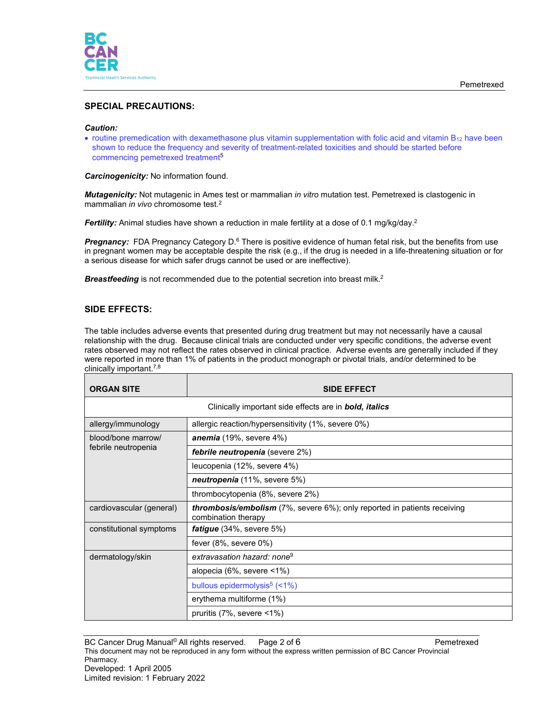

# **SPECIAL PRECAUTIONS:**

#### *Caution:*

• routine premedication with dexamethasone plus vitamin supplementation with folic acid and vitamin B<sub>12</sub> have been shown to reduce the frequency and severity of treatment-related toxicities and should be started before commencing pemetrexed treatment<sup>5</sup>

*Carcinogenicity:* No information found.

*Mutagenicity:* Not mutagenic in Ames test or mammalian *in vitro* mutation test. Pemetrexed is clastogenic in mammalian *in vivo* chromosome test. 2

**Fertility:** Animal studies have shown a reduction in male fertility at a dose of 0.1 mg/kg/day.<sup>2</sup>

**Pregnancy:** FDA Pregnancy Category D.<sup>6</sup> There is positive evidence of human fetal risk, but the benefits from use in pregnant women may be acceptable despite the risk (e.g., if the drug is needed in a life-threatening situation or for a serious disease for which safer drugs cannot be used or are ineffective).

**Breastfeeding** is not recommended due to the potential secretion into breast milk.<sup>2</sup>

### **SIDE EFFECTS:**

The table includes adverse events that presented during drug treatment but may not necessarily have a causal relationship with the drug. Because clinical trials are conducted under very specific conditions, the adverse event rates observed may not reflect the rates observed in clinical practice. Adverse events are generally included if they were reported in more than 1% of patients in the product monograph or pivotal trials, and/or determined to be clinically important. 7,8

| <b>ORGAN SITE</b>        | <b>SIDE EFFECT</b>                                                                                     |  |  |
|--------------------------|--------------------------------------------------------------------------------------------------------|--|--|
|                          | Clinically important side effects are in <b>bold, italics</b>                                          |  |  |
| allergy/immunology       | allergic reaction/hypersensitivity (1%, severe 0%)                                                     |  |  |
| blood/bone marrow/       | anemia $(19\% , \text{ severe } 4\%)$                                                                  |  |  |
| febrile neutropenia      | <b>febrile neutropenia</b> (severe 2%)                                                                 |  |  |
|                          | leucopenia (12%, severe 4%)                                                                            |  |  |
|                          | neutropenia (11%, severe 5%)                                                                           |  |  |
|                          | thrombocytopenia (8%, severe 2%)                                                                       |  |  |
| cardiovascular (general) | <b>thrombosis/embolism</b> (7%, severe 6%); only reported in patients receiving<br>combination therapy |  |  |
| constitutional symptoms  | <i>fatigue</i> $(34\%, \text{ severe } 5\%)$                                                           |  |  |
|                          | fever $(8\%$ , severe $0\%)$                                                                           |  |  |
| dermatology/skin         | extravasation hazard: none <sup>9</sup>                                                                |  |  |
|                          | alopecia (6%, severe $\leq 1\%$ )                                                                      |  |  |
|                          | bullous epidermolysis <sup>5</sup> $($                                                                 |  |  |
|                          | erythema multiforme (1%)                                                                               |  |  |
|                          | pruritis $(7\%$ , severe $\leq 1\%$ )                                                                  |  |  |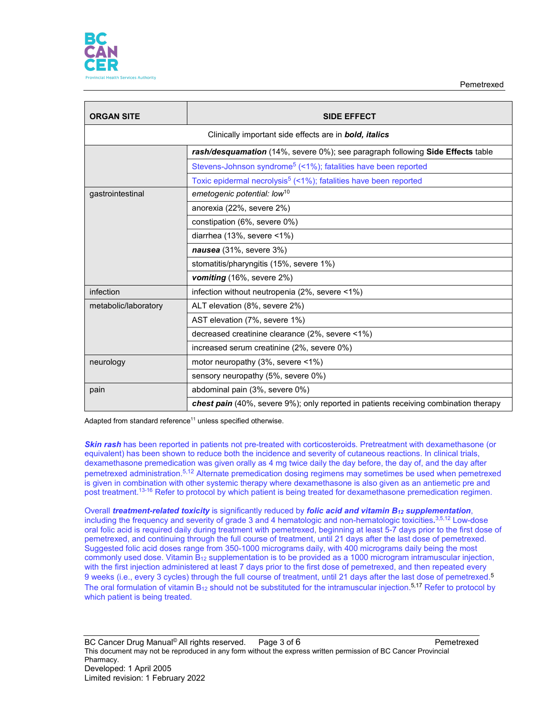

Pemetrexed

| <b>ORGAN SITE</b>    | <b>SIDE EFFECT</b>                                                                   |  |  |
|----------------------|--------------------------------------------------------------------------------------|--|--|
|                      | Clinically important side effects are in <b>bold, italics</b>                        |  |  |
|                      | rash/desquamation (14%, severe 0%); see paragraph following Side Effects table       |  |  |
|                      | Stevens-Johnson syndrome <sup>5</sup> (<1%); fatalities have been reported           |  |  |
|                      | Toxic epidermal necrolysis <sup>5</sup> (<1%); fatalities have been reported         |  |  |
| gastrointestinal     | emetogenic potential: low <sup>10</sup>                                              |  |  |
|                      | anorexia (22%, severe 2%)                                                            |  |  |
|                      | constipation (6%, severe 0%)                                                         |  |  |
|                      | diarrhea (13%, severe <1%)                                                           |  |  |
|                      | nausea (31%, severe 3%)                                                              |  |  |
|                      | stomatitis/pharyngitis (15%, severe 1%)                                              |  |  |
|                      | vomiting (16%, severe 2%)                                                            |  |  |
| infection            | infection without neutropenia (2%, severe <1%)                                       |  |  |
| metabolic/laboratory | ALT elevation (8%, severe 2%)                                                        |  |  |
|                      | AST elevation (7%, severe 1%)                                                        |  |  |
|                      | decreased creatinine clearance (2%, severe <1%)                                      |  |  |
|                      | increased serum creatinine (2%, severe 0%)                                           |  |  |
| neurology            | motor neuropathy (3%, severe <1%)                                                    |  |  |
|                      | sensory neuropathy (5%, severe 0%)                                                   |  |  |
| pain                 | abdominal pain (3%, severe 0%)                                                       |  |  |
|                      | chest pain (40%, severe 9%); only reported in patients receiving combination therapy |  |  |

Adapted from standard reference<sup>11</sup> unless specified otherwise.

*Skin rash* has been reported in patients not pre-treated with corticosteroids. Pretreatment with dexamethasone (or equivalent) has been shown to reduce both the incidence and severity of cutaneous reactions. In clinical trials, dexamethasone premedication was given orally as 4 mg twice daily the day before, the day of, and the day after pemetrexed administration.5,12 Alternate premedication dosing regimens may sometimes be used when pemetrexed is given in combination with other systemic therapy where dexamethasone is also given as an antiemetic pre and post treatment. 13-16 Refer to protocol by which patient is being treated for dexamethasone premedication regimen.

Overall *treatment-related toxicity* is significantly reduced by *folic acid and vitamin B12 supplementation*, including the frequency and severity of grade 3 and 4 hematologic and non-hematologic toxicities*.* 3,5,12 Low-dose oral folic acid is required daily during treatment with pemetrexed, beginning at least 5-7 days prior to the first dose of pemetrexed, and continuing through the full course of treatment, until 21 days after the last dose of pemetrexed. Suggested folic acid doses range from 350-1000 micrograms daily, with 400 micrograms daily being the most commonly used dose. Vitamin  $B_{12}$  supplementation is to be provided as a 1000 microgram intramuscular injection, with the first injection administered at least 7 days prior to the first dose of pemetrexed, and then repeated every 9 weeks (i.e., every 3 cycles) through the full course of treatment, until 21 days after the last dose of pemetrexed.<sup>5</sup> The oral formulation of vitamin B<sub>12</sub> should not be substituted for the intramuscular injection.<sup>5,17</sup> Refer to protocol by which patient is being treated.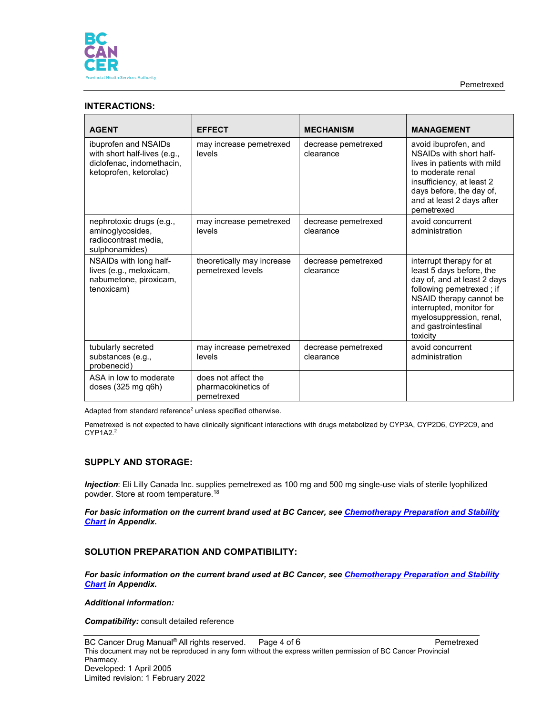

Pemetrexed

# **INTERACTIONS:**

| <b>AGENT</b>                                                                                                | <b>EFFECT</b>                                            | <b>MECHANISM</b>                 | <b>MANAGEMENT</b>                                                                                                                                                                                                                      |
|-------------------------------------------------------------------------------------------------------------|----------------------------------------------------------|----------------------------------|----------------------------------------------------------------------------------------------------------------------------------------------------------------------------------------------------------------------------------------|
| ibuprofen and NSAIDs<br>with short half-lives (e.g.,<br>diclofenac, indomethacin,<br>ketoprofen, ketorolac) | may increase pemetrexed<br>levels                        | decrease pemetrexed<br>clearance | avoid ibuprofen, and<br>NSAIDs with short half-<br>lives in patients with mild<br>to moderate renal<br>insufficiency, at least 2<br>days before, the day of,<br>and at least 2 days after<br>pemetrexed                                |
| nephrotoxic drugs (e.g.,<br>aminoglycosides,<br>radiocontrast media.<br>sulphonamides)                      | may increase pemetrexed<br>levels                        | decrease pemetrexed<br>clearance | avoid concurrent<br>administration                                                                                                                                                                                                     |
| NSAIDs with long half-<br>lives (e.g., meloxicam,<br>nabumetone, piroxicam,<br>tenoxicam)                   | theoretically may increase<br>pemetrexed levels          | decrease pemetrexed<br>clearance | interrupt therapy for at<br>least 5 days before, the<br>day of, and at least 2 days<br>following pemetrexed; if<br>NSAID therapy cannot be<br>interrupted, monitor for<br>myelosuppression, renal,<br>and gastrointestinal<br>toxicity |
| tubularly secreted<br>substances (e.g.,<br>probenecid)                                                      | may increase pemetrexed<br>levels                        | decrease pemetrexed<br>clearance | avoid concurrent<br>administration                                                                                                                                                                                                     |
| ASA in low to moderate<br>doses $(325 \text{ mg q6h})$                                                      | does not affect the<br>pharmacokinetics of<br>pemetrexed |                                  |                                                                                                                                                                                                                                        |

Adapted from standard reference<sup>2</sup> unless specified otherwise.

Pemetrexed is not expected to have clinically significant interactions with drugs metabolized by CYP3A, CYP2D6, CYP2C9, and CYP1A2.2

### **SUPPLY AND STORAGE:**

*Injection*: Eli Lilly Canada Inc. supplies pemetrexed as 100 mg and 500 mg single-use vials of sterile lyophilized powder. Store at room temperature.18

*For basic information on the current brand used at BC Cancer, see [Chemotherapy Preparation and Stability](http://www.bccancer.bc.ca/health-professionals/clinical-resources/cancer-drug-manual)  [Chart](http://www.bccancer.bc.ca/health-professionals/clinical-resources/cancer-drug-manual) in Appendix.*

### **SOLUTION PREPARATION AND COMPATIBILITY:**

*For basic information on the current brand used at BC Cancer, see [Chemotherapy Preparation and Stability](http://www.bccancer.bc.ca/health-professionals/clinical-resources/cancer-drug-manual)  [Chart](http://www.bccancer.bc.ca/health-professionals/clinical-resources/cancer-drug-manual) in Appendix.*

#### *Additional information:*

*Compatibility:* consult detailed reference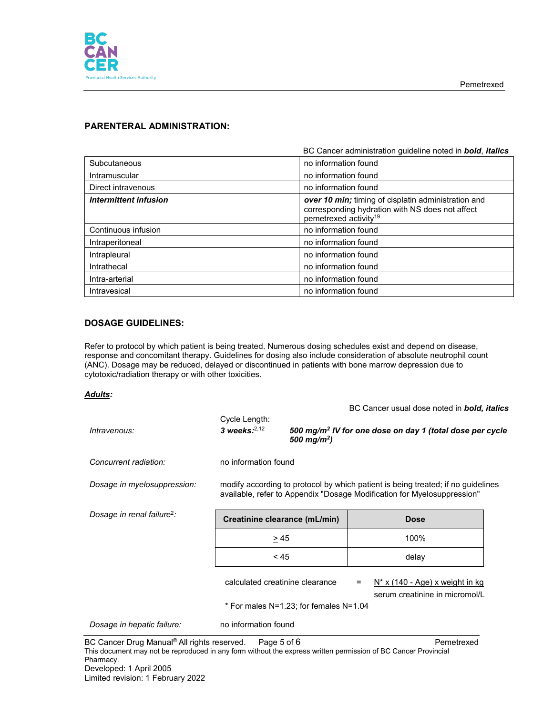

# **PARENTERAL ADMINISTRATION:**

|                       | BC Cancer administration quideline noted in <b>bold</b> , <i>italics</i>                                                                    |
|-----------------------|---------------------------------------------------------------------------------------------------------------------------------------------|
| Subcutaneous          | no information found                                                                                                                        |
| Intramuscular         | no information found                                                                                                                        |
| Direct intravenous    | no information found                                                                                                                        |
| Intermittent infusion | over 10 min; timing of cisplatin administration and<br>corresponding hydration with NS does not affect<br>pemetrexed activity <sup>19</sup> |
| Continuous infusion   | no information found                                                                                                                        |
| Intraperitoneal       | no information found                                                                                                                        |
| Intrapleural          | no information found                                                                                                                        |
| Intrathecal           | no information found                                                                                                                        |
| Intra-arterial        | no information found                                                                                                                        |
| Intravesical          | no information found                                                                                                                        |

# **DOSAGE GUIDELINES:**

Refer to protocol by which patient is being treated. Numerous dosing schedules exist and depend on disease, response and concomitant therapy. Guidelines for dosing also include consideration of absolute neutrophil count (ANC). Dosage may be reduced, delayed or discontinued in patients with bone marrow depression due to cytotoxic/radiation therapy or with other toxicities.

#### *Adults:*

|                                        |                                                                                                                                                             |                         |     | BC Cancer usual dose noted in <b>bold, italics</b>                   |  |
|----------------------------------------|-------------------------------------------------------------------------------------------------------------------------------------------------------------|-------------------------|-----|----------------------------------------------------------------------|--|
| Intravenous:                           | Cycle Length:<br>3 weeks: $2,12$                                                                                                                            | 500 mg/m <sup>2</sup> ) |     | 500 mg/m <sup>2</sup> IV for one dose on day 1 (total dose per cycle |  |
| Concurrent radiation:                  | no information found                                                                                                                                        |                         |     |                                                                      |  |
| Dosage in myelosuppression:            | modify according to protocol by which patient is being treated; if no guidelines<br>available, refer to Appendix "Dosage Modification for Myelosuppression" |                         |     |                                                                      |  |
| Dosage in renal failure <sup>2</sup> : | Creatinine clearance (mL/min)                                                                                                                               |                         |     | <b>Dose</b>                                                          |  |
|                                        | > 45                                                                                                                                                        |                         |     | 100%                                                                 |  |
|                                        | < 45                                                                                                                                                        |                         |     | delay                                                                |  |
|                                        | calculated creatinine clearance                                                                                                                             |                         | $=$ | $N^*$ x (140 - Age) x weight in kg<br>serum creatinine in micromol/L |  |
|                                        | * For males N=1.23; for females N=1.04                                                                                                                      |                         |     |                                                                      |  |
| Dosage in hepatic failure:             | no information found                                                                                                                                        |                         |     |                                                                      |  |

BC Cancer Drug Manual<sup>©</sup> All rights reserved. Page 5 of 6 Pemetrexed Pemetrexed This document may not be reproduced in any form without the express written permission of BC Cancer Provincial Pharmacy. Developed: 1 April 2005 Limited revision: 1 February 2022